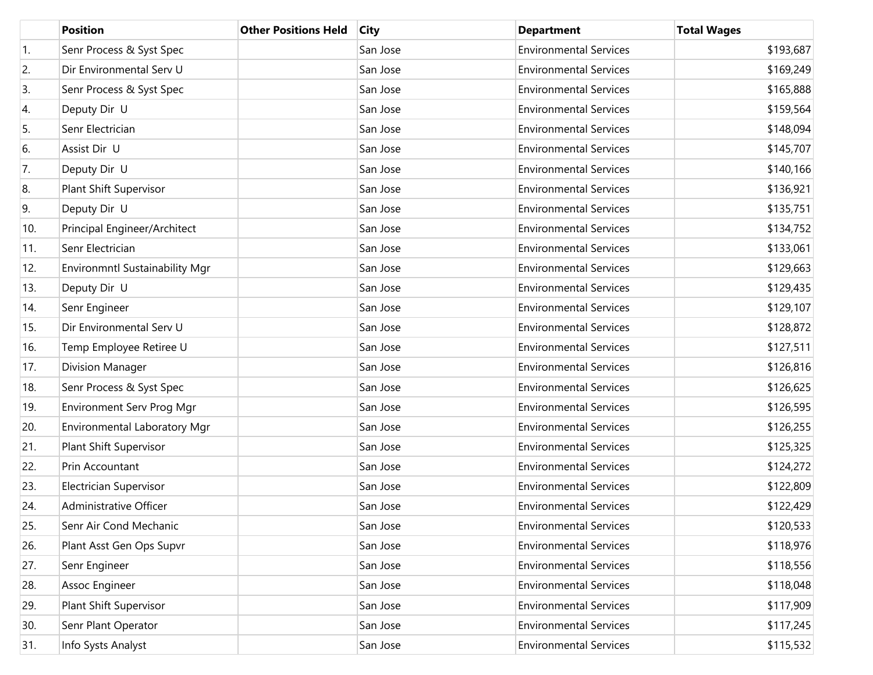|     | <b>Position</b>                | <b>Other Positions Held</b> | <b>City</b> | <b>Department</b>             | <b>Total Wages</b> |
|-----|--------------------------------|-----------------------------|-------------|-------------------------------|--------------------|
| 1.  | Senr Process & Syst Spec       |                             | San Jose    | <b>Environmental Services</b> | \$193,687          |
| 2.  | Dir Environmental Serv U       |                             | San Jose    | <b>Environmental Services</b> | \$169,249          |
| 3.  | Senr Process & Syst Spec       |                             | San Jose    | <b>Environmental Services</b> | \$165,888          |
| 4.  | Deputy Dir U                   |                             | San Jose    | <b>Environmental Services</b> | \$159,564          |
| 5.  | Senr Electrician               |                             | San Jose    | <b>Environmental Services</b> | \$148,094          |
| 6.  | Assist Dir U                   |                             | San Jose    | <b>Environmental Services</b> | \$145,707          |
| 7.  | Deputy Dir U                   |                             | San Jose    | <b>Environmental Services</b> | \$140,166          |
| 8.  | Plant Shift Supervisor         |                             | San Jose    | <b>Environmental Services</b> | \$136,921          |
| 9.  | Deputy Dir U                   |                             | San Jose    | <b>Environmental Services</b> | \$135,751          |
| 10. | Principal Engineer/Architect   |                             | San Jose    | <b>Environmental Services</b> | \$134,752          |
| 11. | Senr Electrician               |                             | San Jose    | <b>Environmental Services</b> | \$133,061          |
| 12. | Environmntl Sustainability Mgr |                             | San Jose    | <b>Environmental Services</b> | \$129,663          |
| 13. | Deputy Dir U                   |                             | San Jose    | <b>Environmental Services</b> | \$129,435          |
| 14. | Senr Engineer                  |                             | San Jose    | <b>Environmental Services</b> | \$129,107          |
| 15. | Dir Environmental Serv U       |                             | San Jose    | <b>Environmental Services</b> | \$128,872          |
| 16. | Temp Employee Retiree U        |                             | San Jose    | <b>Environmental Services</b> | \$127,511          |
| 17. | Division Manager               |                             | San Jose    | <b>Environmental Services</b> | \$126,816          |
| 18. | Senr Process & Syst Spec       |                             | San Jose    | <b>Environmental Services</b> | \$126,625          |
| 19. | Environment Serv Prog Mgr      |                             | San Jose    | <b>Environmental Services</b> | \$126,595          |
| 20. | Environmental Laboratory Mgr   |                             | San Jose    | <b>Environmental Services</b> | \$126,255          |
| 21. | Plant Shift Supervisor         |                             | San Jose    | <b>Environmental Services</b> | \$125,325          |
| 22. | Prin Accountant                |                             | San Jose    | <b>Environmental Services</b> | \$124,272          |
| 23. | Electrician Supervisor         |                             | San Jose    | <b>Environmental Services</b> | \$122,809          |
| 24. | Administrative Officer         |                             | San Jose    | <b>Environmental Services</b> | \$122,429          |
| 25. | Senr Air Cond Mechanic         |                             | San Jose    | <b>Environmental Services</b> | \$120,533          |
| 26. | Plant Asst Gen Ops Supvr       |                             | San Jose    | <b>Environmental Services</b> | \$118,976          |
| 27. | Senr Engineer                  |                             | San Jose    | <b>Environmental Services</b> | \$118,556          |
| 28. | Assoc Engineer                 |                             | San Jose    | <b>Environmental Services</b> | \$118,048          |
| 29. | Plant Shift Supervisor         |                             | San Jose    | <b>Environmental Services</b> | \$117,909          |
| 30. | Senr Plant Operator            |                             | San Jose    | <b>Environmental Services</b> | \$117,245          |
| 31. | Info Systs Analyst             |                             | San Jose    | <b>Environmental Services</b> | \$115,532          |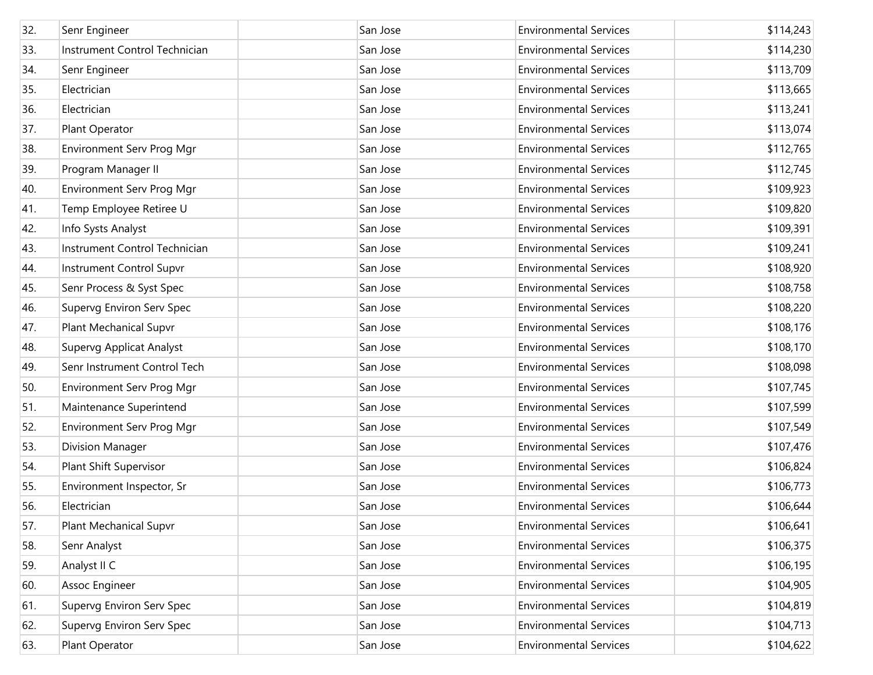| 32. | Senr Engineer                   | San Jose | <b>Environmental Services</b> | \$114,243 |
|-----|---------------------------------|----------|-------------------------------|-----------|
| 33. | Instrument Control Technician   | San Jose | <b>Environmental Services</b> | \$114,230 |
| 34. | Senr Engineer                   | San Jose | <b>Environmental Services</b> | \$113,709 |
| 35. | Electrician                     | San Jose | <b>Environmental Services</b> | \$113,665 |
| 36. | Electrician                     | San Jose | <b>Environmental Services</b> | \$113,241 |
| 37. | Plant Operator                  | San Jose | <b>Environmental Services</b> | \$113,074 |
| 38. | Environment Serv Prog Mgr       | San Jose | <b>Environmental Services</b> | \$112,765 |
| 39. | Program Manager II              | San Jose | <b>Environmental Services</b> | \$112,745 |
| 40. | Environment Serv Prog Mgr       | San Jose | <b>Environmental Services</b> | \$109,923 |
| 41. | Temp Employee Retiree U         | San Jose | <b>Environmental Services</b> | \$109,820 |
| 42. | Info Systs Analyst              | San Jose | <b>Environmental Services</b> | \$109,391 |
| 43. | Instrument Control Technician   | San Jose | <b>Environmental Services</b> | \$109,241 |
| 44. | <b>Instrument Control Supvr</b> | San Jose | <b>Environmental Services</b> | \$108,920 |
| 45. | Senr Process & Syst Spec        | San Jose | <b>Environmental Services</b> | \$108,758 |
| 46. | Supervg Environ Serv Spec       | San Jose | <b>Environmental Services</b> | \$108,220 |
| 47. | <b>Plant Mechanical Supvr</b>   | San Jose | <b>Environmental Services</b> | \$108,176 |
| 48. | Supervg Applicat Analyst        | San Jose | <b>Environmental Services</b> | \$108,170 |
| 49. | Senr Instrument Control Tech    | San Jose | <b>Environmental Services</b> | \$108,098 |
| 50. | Environment Serv Prog Mgr       | San Jose | <b>Environmental Services</b> | \$107,745 |
| 51. | Maintenance Superintend         | San Jose | <b>Environmental Services</b> | \$107,599 |
| 52. | Environment Serv Prog Mgr       | San Jose | <b>Environmental Services</b> | \$107,549 |
| 53. | Division Manager                | San Jose | <b>Environmental Services</b> | \$107,476 |
| 54. | Plant Shift Supervisor          | San Jose | <b>Environmental Services</b> | \$106,824 |
| 55. | Environment Inspector, Sr       | San Jose | <b>Environmental Services</b> | \$106,773 |
| 56. | Electrician                     | San Jose | <b>Environmental Services</b> | \$106,644 |
| 57. | Plant Mechanical Supvr          | San Jose | <b>Environmental Services</b> | \$106,641 |
| 58. | Senr Analyst                    | San Jose | <b>Environmental Services</b> | \$106,375 |
| 59. | Analyst II C                    | San Jose | <b>Environmental Services</b> | \$106,195 |
| 60. | Assoc Engineer                  | San Jose | <b>Environmental Services</b> | \$104,905 |
| 61. | Supervg Environ Serv Spec       | San Jose | <b>Environmental Services</b> | \$104,819 |
| 62. | Supervg Environ Serv Spec       | San Jose | <b>Environmental Services</b> | \$104,713 |
| 63. | Plant Operator                  | San Jose | <b>Environmental Services</b> | \$104,622 |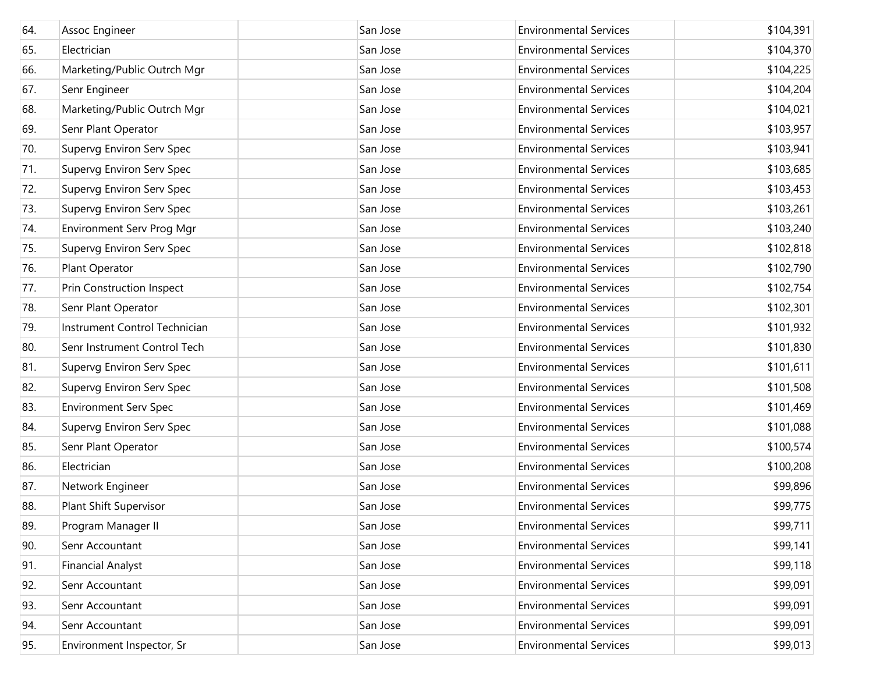| 64. | Assoc Engineer                | San Jose | <b>Environmental Services</b> | \$104,391 |
|-----|-------------------------------|----------|-------------------------------|-----------|
| 65. | Electrician                   | San Jose | <b>Environmental Services</b> | \$104,370 |
| 66. | Marketing/Public Outrch Mgr   | San Jose | <b>Environmental Services</b> | \$104,225 |
| 67. | Senr Engineer                 | San Jose | <b>Environmental Services</b> | \$104,204 |
| 68. | Marketing/Public Outrch Mgr   | San Jose | <b>Environmental Services</b> | \$104,021 |
| 69. | Senr Plant Operator           | San Jose | <b>Environmental Services</b> | \$103,957 |
| 70. | Supervg Environ Serv Spec     | San Jose | <b>Environmental Services</b> | \$103,941 |
| 71. | Supervg Environ Serv Spec     | San Jose | <b>Environmental Services</b> | \$103,685 |
| 72. | Supervg Environ Serv Spec     | San Jose | <b>Environmental Services</b> | \$103,453 |
| 73. | Supervg Environ Serv Spec     | San Jose | <b>Environmental Services</b> | \$103,261 |
| 74. | Environment Serv Prog Mgr     | San Jose | <b>Environmental Services</b> | \$103,240 |
| 75. | Supervg Environ Serv Spec     | San Jose | <b>Environmental Services</b> | \$102,818 |
| 76. | Plant Operator                | San Jose | <b>Environmental Services</b> | \$102,790 |
| 77. | Prin Construction Inspect     | San Jose | <b>Environmental Services</b> | \$102,754 |
| 78. | Senr Plant Operator           | San Jose | <b>Environmental Services</b> | \$102,301 |
| 79. | Instrument Control Technician | San Jose | <b>Environmental Services</b> | \$101,932 |
| 80. | Senr Instrument Control Tech  | San Jose | <b>Environmental Services</b> | \$101,830 |
| 81. | Supervg Environ Serv Spec     | San Jose | <b>Environmental Services</b> | \$101,611 |
| 82. | Supervg Environ Serv Spec     | San Jose | <b>Environmental Services</b> | \$101,508 |
| 83. | <b>Environment Serv Spec</b>  | San Jose | <b>Environmental Services</b> | \$101,469 |
| 84. | Supervg Environ Serv Spec     | San Jose | <b>Environmental Services</b> | \$101,088 |
| 85. | Senr Plant Operator           | San Jose | <b>Environmental Services</b> | \$100,574 |
| 86. | Electrician                   | San Jose | <b>Environmental Services</b> | \$100,208 |
| 87. | Network Engineer              | San Jose | <b>Environmental Services</b> | \$99,896  |
| 88. | Plant Shift Supervisor        | San Jose | <b>Environmental Services</b> | \$99,775  |
| 89. | Program Manager II            | San Jose | <b>Environmental Services</b> | \$99,711  |
| 90. | Senr Accountant               | San Jose | <b>Environmental Services</b> | \$99,141  |
| 91. | <b>Financial Analyst</b>      | San Jose | <b>Environmental Services</b> | \$99,118  |
| 92. | Senr Accountant               | San Jose | <b>Environmental Services</b> | \$99,091  |
| 93. | Senr Accountant               | San Jose | <b>Environmental Services</b> | \$99,091  |
| 94. | Senr Accountant               | San Jose | <b>Environmental Services</b> | \$99,091  |
| 95. | Environment Inspector, Sr     | San Jose | <b>Environmental Services</b> | \$99,013  |